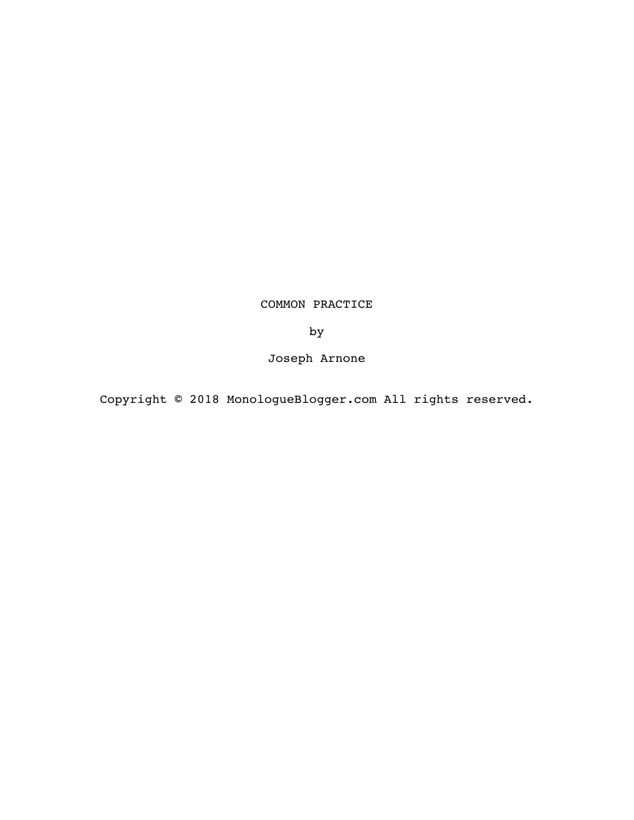# COMMON PRACTICE

by

Joseph Arnone

Copyright © 2018 MonologueBlogger.com All rights reserved.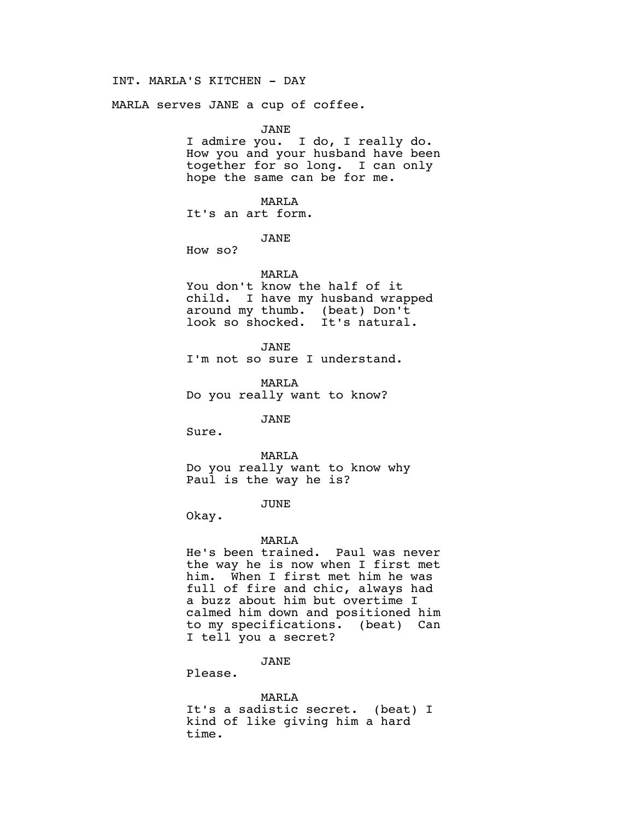# INT. MARLA'S KITCHEN - DAY

MARLA serves JANE a cup of coffee.

JANE

I admire you. I do, I really do. How you and your husband have been together for so long. I can only hope the same can be for me.

MARLA

It's an art form.

JANE

How so?

#### MARLA

You don't know the half of it child. I have my husband wrapped around my thumb. (beat) Don't look so shocked. It's natural.

JANE I'm not so sure I understand.

MARLA Do you really want to know?

JANE

Sure.

MARLA

Do you really want to know why Paul is the way he is?

# JUNE

Okay.

### MARLA

He's been trained. Paul was never the way he is now when I first met him. When I first met him he was full of fire and chic, always had a buzz about him but overtime I calmed him down and positioned him to my specifications. (beat) Can I tell you a secret?

# JANE

Please.

MARLA It's a sadistic secret. (beat) I kind of like giving him a hard time.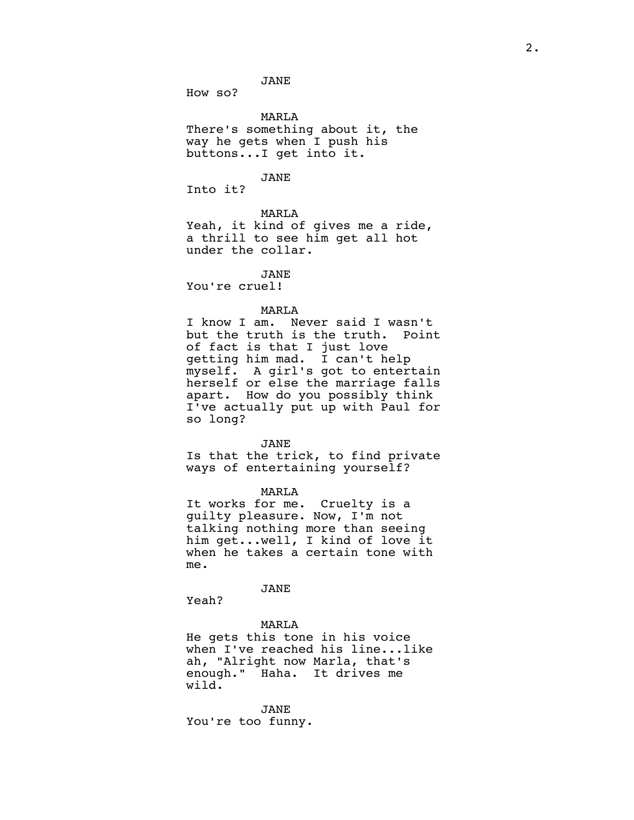JANE

How so?

MARLA

There's something about it, the way he gets when I push his buttons...I get into it.

JANE

Into it?

# MARLA

Yeah, it kind of gives me a ride, a thrill to see him get all hot under the collar.

JANE

You're cruel!

# MARLA

I know I am. Never said I wasn't but the truth is the truth. Point of fact is that I just love getting him mad. I can't help myself. A girl's got to entertain herself or else the marriage falls apart. How do you possibly think I've actually put up with Paul for so long?

#### JANE

Is that the trick, to find private ways of entertaining yourself?

MARLA

It works for me. Cruelty is a guilty pleasure. Now, I'm not talking nothing more than seeing him get...well, I kind of love it when he takes a certain tone with me.

JANE

Yeah?

# MARLA

He gets this tone in his voice when I've reached his line...like ah, "Alright now Marla, that's enough." Haha. It drives me wild.

JANE You're too funny.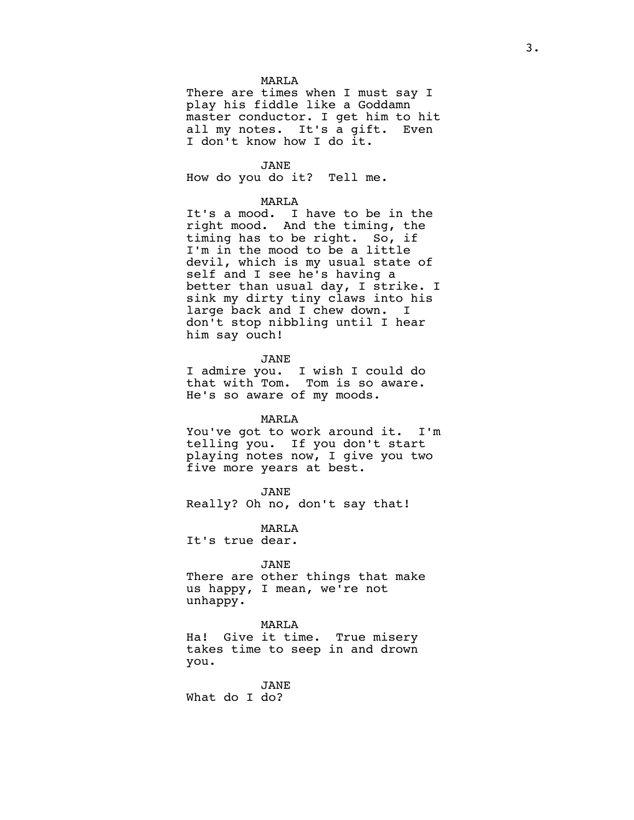#### MARLA

There are times when I must say I play his fiddle like a Goddamn master conductor. I get him to hit all my notes. It's a gift. Even I don't know how I do it.

JANE

How do you do it? Tell me.

#### MARLA

It's a mood. I have to be in the right mood. And the timing, the timing has to be right. So, if I'm in the mood to be a little devil, which is my usual state of self and I see he's having a better than usual day, I strike. I sink my dirty tiny claws into his large back and I chew down. I don't stop nibbling until I hear him say ouch!

JANE

I admire you. I wish I could do that with Tom. Tom is so aware. He's so aware of my moods.

#### MARLA

You've got to work around it. I'm telling you. If you don't start playing notes now, I give you two five more years at best.

JANE

Really? Oh no, don't say that!

MARLA

It's true dear.

JANE

There are other things that make us happy, I mean, we're not unhappy.

#### MARLA

Ha! Give it time. True misery takes time to seep in and drown you.

JANE What do I do?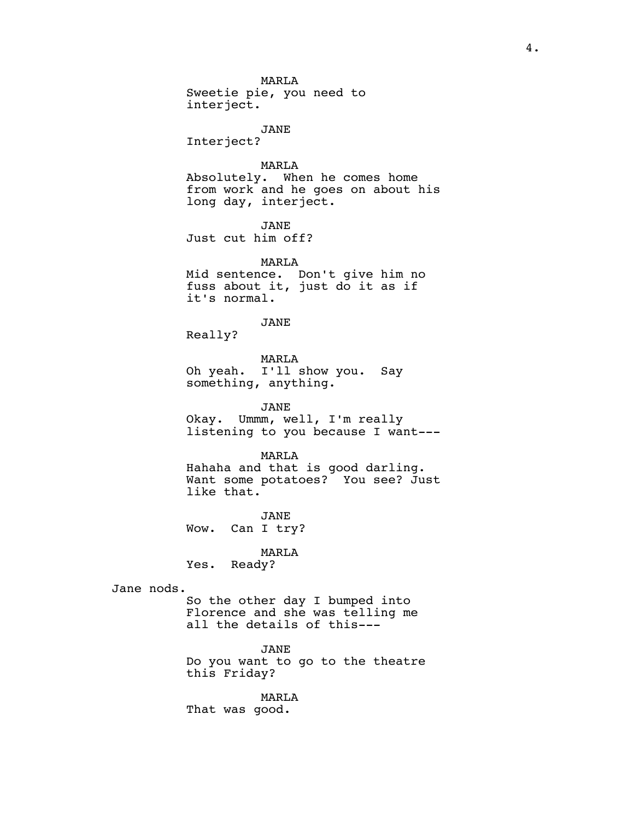MARLA Sweetie pie, you need to interject. JANE Interject? MARLA Absolutely. When he comes home from work and he goes on about his long day, interject. JANE Just cut him off? MARLA Mid sentence. Don't give him no fuss about it, just do it as if it's normal. JANE Really? MARLA Oh yeah. I'll show you. Say something, anything. JANE Okay. Ummm, well, I'm really listening to you because I want--- MARLA Hahaha and that is good darling. Want some potatoes? You see? Just like that. JANE Wow. Can I try? MARLA Yes. Ready? Jane nods. So the other day I bumped into Florence and she was telling me all the details of this--- JANE Do you want to go to the theatre this Friday?

> MARLA That was good.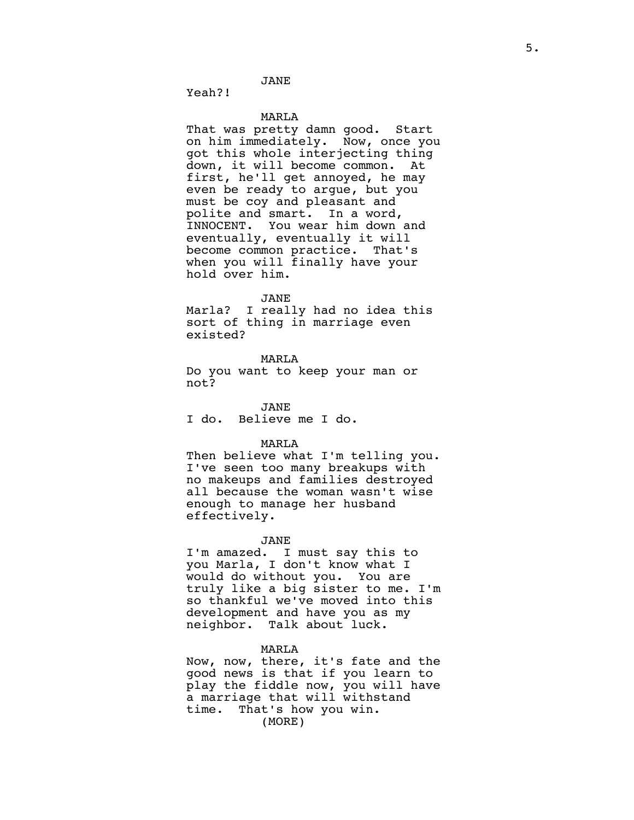JANE

Yeah?!

#### MARLA

That was pretty damn good. Start on him immediately. Now, once you got this whole interjecting thing down, it will become common. At first, he'll get annoyed, he may even be ready to argue, but you must be coy and pleasant and polite and smart. In a word, INNOCENT. You wear him down and eventually, eventually it will become common practice. That's when you will finally have your hold over him.

#### JANE

Marla? I really had no idea this sort of thing in marriage even existed?

# MARLA

Do you want to keep your man or not?

JANE I do. Believe me I do.

# MARLA

Then believe what I'm telling you. I've seen too many breakups with no makeups and families destroyed all because the woman wasn't wise enough to manage her husband effectively.

#### JANE

I'm amazed. I must say this to you Marla, I don't know what I would do without you. You are truly like a big sister to me. I'm so thankful we've moved into this development and have you as my neighbor. Talk about luck.

#### MARLA

Now, now, there, it's fate and the good news is that if you learn to play the fiddle now, you will have a marriage that will withstand time. That's how you win. (MORE)